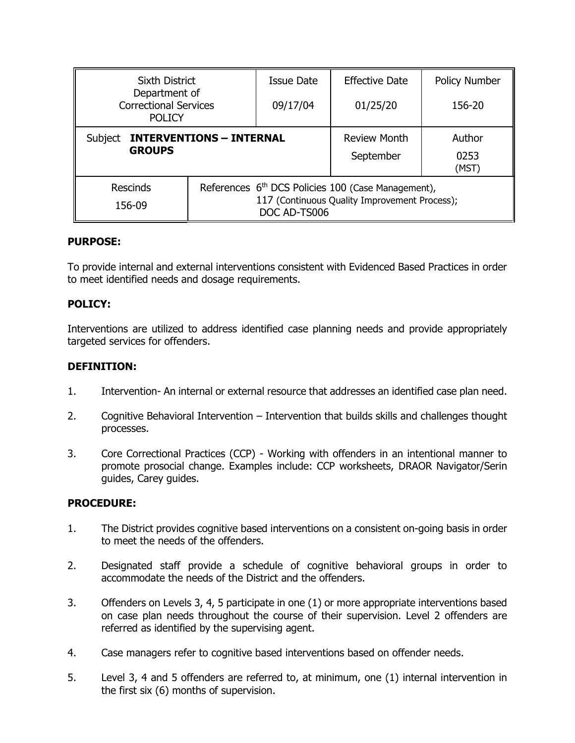| <b>Sixth District</b>                                          |                                                                                                                                 | Issue Date | <b>Effective Date</b>            | Policy Number           |
|----------------------------------------------------------------|---------------------------------------------------------------------------------------------------------------------------------|------------|----------------------------------|-------------------------|
| Department of<br><b>Correctional Services</b><br><b>POLICY</b> |                                                                                                                                 | 09/17/04   | 01/25/20                         | 156-20                  |
| <b>INTERVENTIONS - INTERNAL</b><br>Subject<br><b>GROUPS</b>    |                                                                                                                                 |            | <b>Review Month</b><br>September | Author<br>0253<br>(MST) |
| Rescinds<br>156-09                                             | References 6 <sup>th</sup> DCS Policies 100 (Case Management),<br>117 (Continuous Quality Improvement Process);<br>DOC AD-TS006 |            |                                  |                         |

### **PURPOSE:**

To provide internal and external interventions consistent with Evidenced Based Practices in order to meet identified needs and dosage requirements.

## **POLICY:**

Interventions are utilized to address identified case planning needs and provide appropriately targeted services for offenders.

### **DEFINITION:**

- 1. Intervention- An internal or external resource that addresses an identified case plan need.
- 2. Cognitive Behavioral Intervention Intervention that builds skills and challenges thought processes.
- 3. Core Correctional Practices (CCP) Working with offenders in an intentional manner to promote prosocial change. Examples include: CCP worksheets, DRAOR Navigator/Serin guides, Carey guides.

### **PROCEDURE:**

- 1. The District provides cognitive based interventions on a consistent on-going basis in order to meet the needs of the offenders.
- 2. Designated staff provide a schedule of cognitive behavioral groups in order to accommodate the needs of the District and the offenders.
- 3. Offenders on Levels 3, 4, 5 participate in one (1) or more appropriate interventions based on case plan needs throughout the course of their supervision. Level 2 offenders are referred as identified by the supervising agent.
- 4. Case managers refer to cognitive based interventions based on offender needs.
- 5. Level 3, 4 and 5 offenders are referred to, at minimum, one (1) internal intervention in the first six (6) months of supervision.